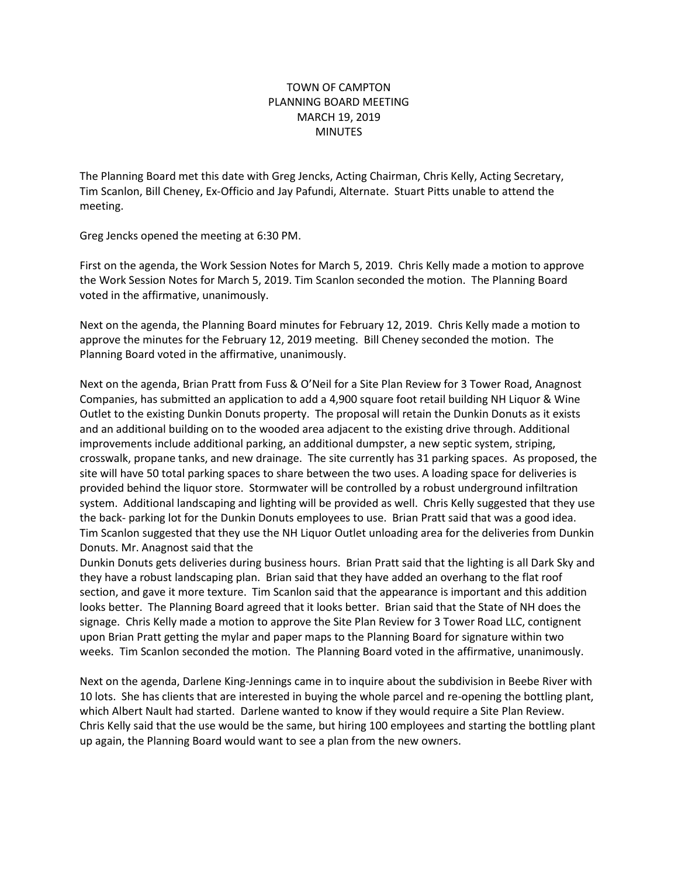## TOWN OF CAMPTON PLANNING BOARD MEETING MARCH 19, 2019 MINUTES

The Planning Board met this date with Greg Jencks, Acting Chairman, Chris Kelly, Acting Secretary, Tim Scanlon, Bill Cheney, Ex-Officio and Jay Pafundi, Alternate. Stuart Pitts unable to attend the meeting.

Greg Jencks opened the meeting at 6:30 PM.

First on the agenda, the Work Session Notes for March 5, 2019. Chris Kelly made a motion to approve the Work Session Notes for March 5, 2019. Tim Scanlon seconded the motion. The Planning Board voted in the affirmative, unanimously.

Next on the agenda, the Planning Board minutes for February 12, 2019. Chris Kelly made a motion to approve the minutes for the February 12, 2019 meeting. Bill Cheney seconded the motion. The Planning Board voted in the affirmative, unanimously.

Next on the agenda, Brian Pratt from Fuss & O'Neil for a Site Plan Review for 3 Tower Road, Anagnost Companies, has submitted an application to add a 4,900 square foot retail building NH Liquor & Wine Outlet to the existing Dunkin Donuts property. The proposal will retain the Dunkin Donuts as it exists and an additional building on to the wooded area adjacent to the existing drive through. Additional improvements include additional parking, an additional dumpster, a new septic system, striping, crosswalk, propane tanks, and new drainage. The site currently has 31 parking spaces. As proposed, the site will have 50 total parking spaces to share between the two uses. A loading space for deliveries is provided behind the liquor store. Stormwater will be controlled by a robust underground infiltration system. Additional landscaping and lighting will be provided as well. Chris Kelly suggested that they use the back- parking lot for the Dunkin Donuts employees to use. Brian Pratt said that was a good idea. Tim Scanlon suggested that they use the NH Liquor Outlet unloading area for the deliveries from Dunkin Donuts. Mr. Anagnost said that the

Dunkin Donuts gets deliveries during business hours. Brian Pratt said that the lighting is all Dark Sky and they have a robust landscaping plan. Brian said that they have added an overhang to the flat roof section, and gave it more texture. Tim Scanlon said that the appearance is important and this addition looks better. The Planning Board agreed that it looks better. Brian said that the State of NH does the signage. Chris Kelly made a motion to approve the Site Plan Review for 3 Tower Road LLC, contignent upon Brian Pratt getting the mylar and paper maps to the Planning Board for signature within two weeks. Tim Scanlon seconded the motion. The Planning Board voted in the affirmative, unanimously.

Next on the agenda, Darlene King-Jennings came in to inquire about the subdivision in Beebe River with 10 lots. She has clients that are interested in buying the whole parcel and re-opening the bottling plant, which Albert Nault had started. Darlene wanted to know if they would require a Site Plan Review. Chris Kelly said that the use would be the same, but hiring 100 employees and starting the bottling plant up again, the Planning Board would want to see a plan from the new owners.